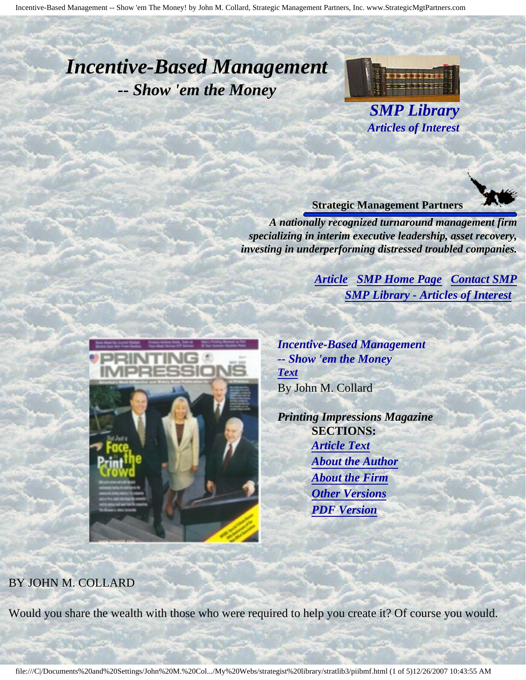# <span id="page-0-4"></span><span id="page-0-3"></span>*Incentive-Based Management -- Show 'em the Money*



*SMP Library Articles of Interest*

#### **Strategic Management Partners**

*A nationally recognized turnaround management firm specializing in interim executive leadership, asset recovery, investing in underperforming distressed troubled companies.*

> *[Article](#page-0-0) [SMP Home Page](http://members.aol.com/strategist/home.html#TOP) [Contact SMP](#page-4-0) [SMP Library - Articles of Interest](http://members.aol.com/stratlib3/libindx.html#TOP)*

<span id="page-0-2"></span><span id="page-0-0"></span>

*Incentive-Based Management -- Show 'em the Money [Text](#page-0-1)* By John M. Collard

*Printing Impressions Magazine* **SECTIONS:** *[Article Text](#page-0-1) [About the Author](#page-3-0) [About the Firm](#page-3-1) [Other Versions](#page-3-2) [PDF Version](http://members.aol.com/stratlib/pi-ibm.pdf)*

### <span id="page-0-1"></span>BY JOHN M. COLLARD

Would you share the wealth with those who were required to help you create it? Of course you would.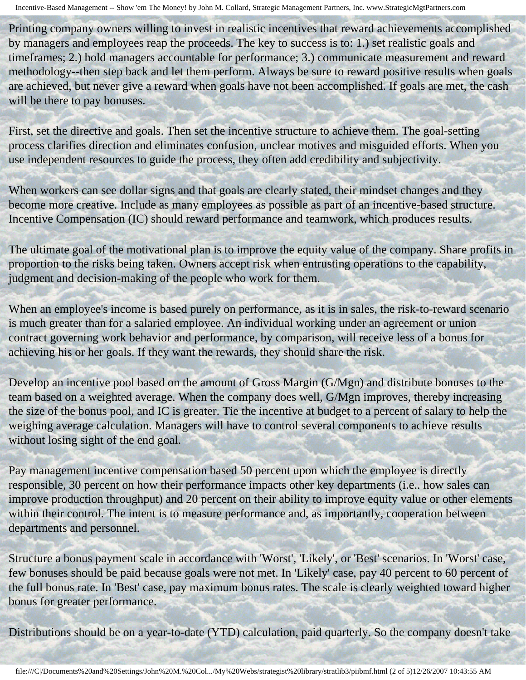Printing company owners willing to invest in realistic incentives that reward achievements accomplished by managers and employees reap the proceeds. The key to success is to: 1.) set realistic goals and timeframes; 2.) hold managers accountable for performance; 3.) communicate measurement and reward methodology--then step back and let them perform. Always be sure to reward positive results when goals are achieved, but never give a reward when goals have not been accomplished. If goals are met, the cash will be there to pay bonuses.

First, set the directive and goals. Then set the incentive structure to achieve them. The goal-setting process clarifies direction and eliminates confusion, unclear motives and misguided efforts. When you use independent resources to guide the process, they often add credibility and subjectivity.

When workers can see dollar signs and that goals are clearly stated, their mindset changes and they become more creative. Include as many employees as possible as part of an incentive-based structure. Incentive Compensation (IC) should reward performance and teamwork, which produces results.

The ultimate goal of the motivational plan is to improve the equity value of the company. Share profits in proportion to the risks being taken. Owners accept risk when entrusting operations to the capability, judgment and decision-making of the people who work for them.

When an employee's income is based purely on performance, as it is in sales, the risk-to-reward scenario is much greater than for a salaried employee. An individual working under an agreement or union contract governing work behavior and performance, by comparison, will receive less of a bonus for achieving his or her goals. If they want the rewards, they should share the risk.

Develop an incentive pool based on the amount of Gross Margin (G/Mgn) and distribute bonuses to the team based on a weighted average. When the company does well, G/Mgn improves, thereby increasing the size of the bonus pool, and IC is greater. Tie the incentive at budget to a percent of salary to help the weighing average calculation. Managers will have to control several components to achieve results without losing sight of the end goal.

Pay management incentive compensation based 50 percent upon which the employee is directly responsible, 30 percent on how their performance impacts other key departments (i.e.. how sales can improve production throughput) and 20 percent on their ability to improve equity value or other elements within their control. The intent is to measure performance and, as importantly, cooperation between departments and personnel.

Structure a bonus payment scale in accordance with 'Worst', 'Likely', or 'Best' scenarios. In 'Worst' case, few bonuses should be paid because goals were not met. In 'Likely' case, pay 40 percent to 60 percent of the full bonus rate. In 'Best' case, pay maximum bonus rates. The scale is clearly weighted toward higher bonus for greater performance.

Distributions should be on a year-to-date (YTD) calculation, paid quarterly. So the company doesn't take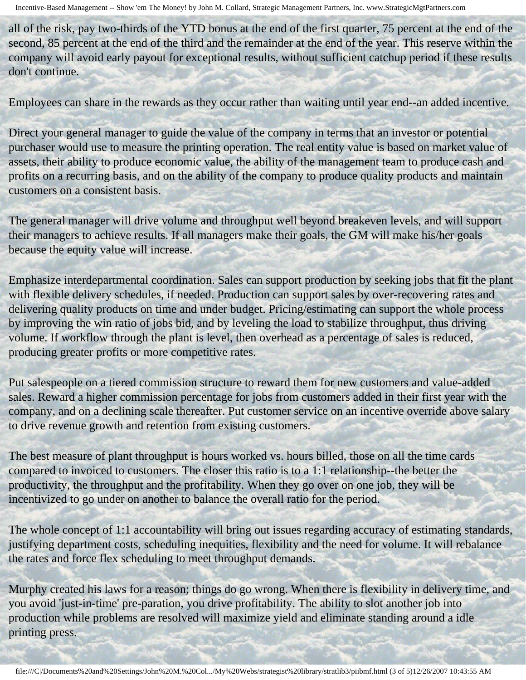all of the risk, pay two-thirds of the YTD bonus at the end of the first quarter, 75 percent at the end of the second, 85 percent at the end of the third and the remainder at the end of the year. This reserve within the company will avoid early payout for exceptional results, without sufficient catchup period if these results don't continue.

Employees can share in the rewards as they occur rather than waiting until year end--an added incentive.

Direct your general manager to guide the value of the company in terms that an investor or potential purchaser would use to measure the printing operation. The real entity value is based on market value of assets, their ability to produce economic value, the ability of the management team to produce cash and profits on a recurring basis, and on the ability of the company to produce quality products and maintain customers on a consistent basis.

The general manager will drive volume and throughput well beyond breakeven levels, and will support their managers to achieve results. If all managers make their goals, the GM will make his/her goals because the equity value will increase.

Emphasize interdepartmental coordination. Sales can support production by seeking jobs that fit the plant with flexible delivery schedules, if needed. Production can support sales by over-recovering rates and delivering quality products on time and under budget. Pricing/estimating can support the whole process by improving the win ratio of jobs bid, and by leveling the load to stabilize throughput, thus driving volume. If workflow through the plant is level, then overhead as a percentage of sales is reduced, producing greater profits or more competitive rates.

Put salespeople on a tiered commission structure to reward them for new customers and value-added sales. Reward a higher commission percentage for jobs from customers added in their first year with the company, and on a declining scale thereafter. Put customer service on an incentive override above salary to drive revenue growth and retention from existing customers.

The best measure of plant throughput is hours worked vs. hours billed, those on all the time cards compared to invoiced to customers. The closer this ratio is to a 1:1 relationship--the better the productivity, the throughput and the profitability. When they go over on one job, they will be incentivized to go under on another to balance the overall ratio for the period.

The whole concept of 1:1 accountability will bring out issues regarding accuracy of estimating standards, justifying department costs, scheduling inequities, flexibility and the need for volume. It will rebalance the rates and force flex scheduling to meet throughput demands.

Murphy created his laws for a reason; things do go wrong. When there is flexibility in delivery time, and you avoid 'just-in-time' pre-paration, you drive profitability. The ability to slot another job into production while problems are resolved will maximize yield and eliminate standing around a idle printing press.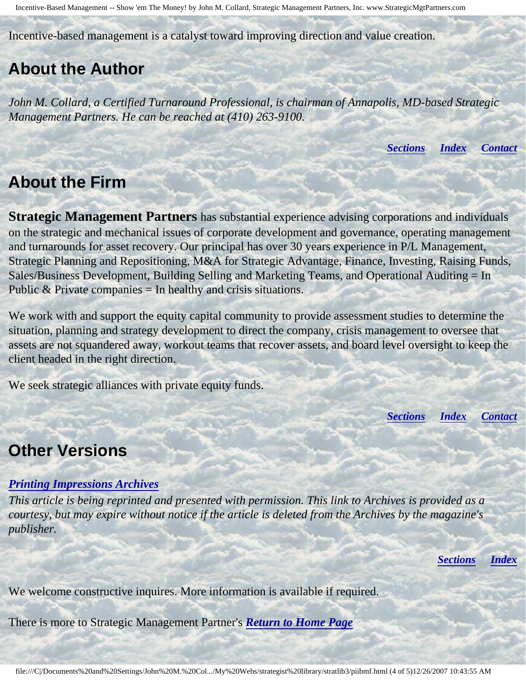Incentive-Based Management -- Show 'em The Money! by John M. Collard, Strategic Management Partners, Inc. www.StrategicMgtPartners.com

Incentive-based management is a catalyst toward improving direction and value creation.

## <span id="page-3-0"></span>**About the Author**

*John M. Collard, a Certified Turnaround Professional, is chairman of Annapolis, MD-based Strategic Management Partners. He can be reached at (410) 263-9100.*

*[Sections](#page-0-2) [Index](#page-0-3) [Contact](#page-4-0)*

## <span id="page-3-1"></span>**About the Firm**

**Strategic Management Partners** has substantial experience advising corporations and individuals on the strategic and mechanical issues of corporate development and governance, operating management and turnarounds for asset recovery. Our principal has over 30 years experience in P/L Management, Strategic Planning and Repositioning, M&A for Strategic Advantage, Finance, Investing, Raising Funds, Sales/Business Development, Building Selling and Marketing Teams, and Operational Auditing = In Public  $&$  Private companies  $=$  In healthy and crisis situations.

We work with and support the equity capital community to provide assessment studies to determine the situation, planning and strategy development to direct the company, crisis management to oversee that assets are not squandered away, workout teams that recover assets, and board level oversight to keep the client headed in the right direction.

We seek strategic alliances with private equity funds.

*[Sections](#page-0-2) [Index](#page-0-3) [Contact](#page-4-0)*

### <span id="page-3-2"></span>**Other Versions**

### *[Printing Impressions Archives](http://www.piworld.com/doc/279675118678296.bsp)*

*This article is being reprinted and presented with permission. This link to Archives is provided as a courtesy, but may expire without notice if the article is deleted from the Archives by the magazine's publisher.*

*[Sections](#page-0-2) [Index](#page-0-3)*

We welcome constructive inquires. More information is available if required.

There is more to Strategic Management Partner's *[Return to Home Page](http://members.aol.com/strategist/home.html#TOP)*